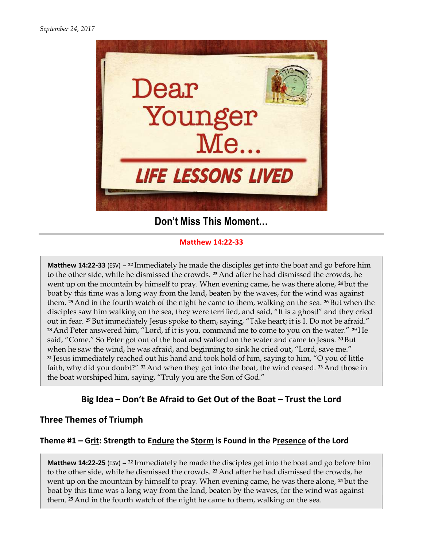

# Don't Miss This Moment...

#### Matthew 14:22-33

**Matthew 14:22-33** (ESV) – <sup>22</sup> Immediately he made the disciples get into the boat and go before him to the other side, while he dismissed the crowds. <sup>23</sup> And after he had dismissed the crowds, he to the other side, while he dismissed the crowds. <sup>23</sup> And after he had dismissed the crowds, he went up on the mountain by himself to pray. When evening came, he was there alone, <sup>24</sup> but the boat by this time was a long way from the land, beaten by the waves, for the wind was against them. <sup>25</sup> And in the fourth watch of the night he came to them, walking on the sea. <sup>26</sup> But when the disciples saw him walking on the sea, they were terrified, and said, "It is a ghost!" and they cried went up on the mountain by himself to pray. When evening came, he was there alone, <sup>24</sup> but the boat by this time was a long way from the land, beaten by the waves, for the wind was against them. <sup>25</sup> And in the fourth wat  $28$  And Peter answered him, "Lord, if it is you, command me to come to you on the water."  $29$  He said, "Come." So Peter got out of the boat and walked on the water and came to Jesus. when he saw the wind, he was afraid, and beginning to sink he cried out, <sup>31</sup> Jesus immediately reached out his hand and took hold of him, saying to him, "O you of little faith, why did you doubt?" 32 And when they got into the boat, the wind ceased. the boat worshiped him, saying, "Truly you are the Son of God." <sup>28</sup> And Peter answered him, "Lord, if it is you, command me to come to you on the water." <sup>2</sup><br>said, "Come." So Peter got out of the boat and walked on the water and came to Jesus. <sup>30</sup> But<br>when he saw the wind, he was afr ched out his hand and took hold of him, saying to him, "<br>ot?" <sup>32</sup> And when they got into the boat, the wind ceased.<br>, saying, "Truly you are the Son of God." to the other side, while he dismissed the crowds, <sup>23</sup> And after he had dismissed the crowds, he went up on the mountain by himself to pray. When evening came, he was there alone, 24 but the boat by this time was a long w <sup>30</sup>But <sup>33</sup>And those in

## Big Idea - Don't Be Afraid to Get Out of the Boat - Trust the Lord

### Three Themes of Triumph

### Theme #1 – Grit: Strength to Endure the Storm is Found in the Presence of the Lord

**Matthew 14:22-25** (ESV) – <sup>22</sup> Immediately he made the disciples get into the boat and go before him **Matthew 14:22-25** (ESV) – <sup>22</sup> Immediately he made the disciples get into the boat and go before his to the other side, while he dismissed the crowds. <sup>23</sup> And after he had dismissed the crowds, he went up on the mountain by himself to pray. When evening came, he was there alone, <sup>24</sup>but the boat by this time was a long way from the land, beaten by the waves, for the wind was against them. 25 And in the fourth watch of the night he came to them, walking on the sea.